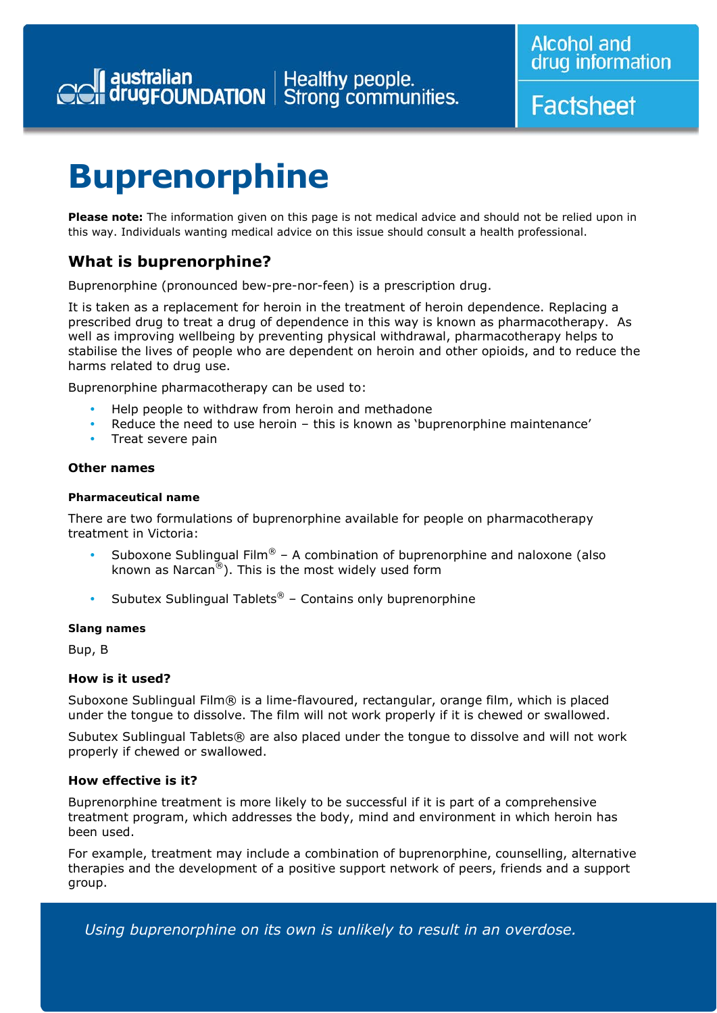**Factsheet** 

## **Buprenorphine**

**Please note:** The information given on this page is not medical advice and should not be relied upon in this way. Individuals wanting medical advice on this issue should consult a health professional.

### **What is buprenorphine?**

Buprenorphine (pronounced bew-pre-nor-feen) is a prescription drug.

It is taken as a replacement for heroin in the treatment of heroin dependence. Replacing a prescribed drug to treat a drug of dependence in this way is known as pharmacotherapy. As well as improving wellbeing by preventing physical withdrawal, pharmacotherapy helps to stabilise the lives of people who are dependent on heroin and other opioids, and to reduce the harms related to drug use.

Buprenorphine pharmacotherapy can be used to:

- Help people to withdraw from heroin and methadone
- Reduce the need to use heroin this is known as 'buprenorphine maintenance'
- Treat severe pain

#### **Other names**

#### *Pharmaceutical name*

There are two formulations of buprenorphine available for people on pharmacotherapy treatment in Victoria:

- Suboxone Sublingual Film® A combination of buprenorphine and naloxone (also known as Narcan<sup>®</sup>). This is the most widely used form
- Subutex Sublingual Tablets<sup>®</sup> Contains only buprenorphine

#### *Slang names*

Bup, B

#### **How is it used?**

Suboxone Sublingual Film® is a lime-flavoured, rectangular, orange film, which is placed under the tongue to dissolve. The film will not work properly if it is chewed or swallowed.

Subutex Sublingual Tablets® are also placed under the tongue to dissolve and will not work properly if chewed or swallowed.

#### **How effective is it?**

Buprenorphine treatment is more likely to be successful if it is part of a comprehensive treatment program, which addresses the body, mind and environment in which heroin has been used.

For example, treatment may include a combination of buprenorphine, counselling, alternative therapies and the development of a positive support network of peers, friends and a support group.

*Using buprenorphine on its own is unlikely to result in an overdose.*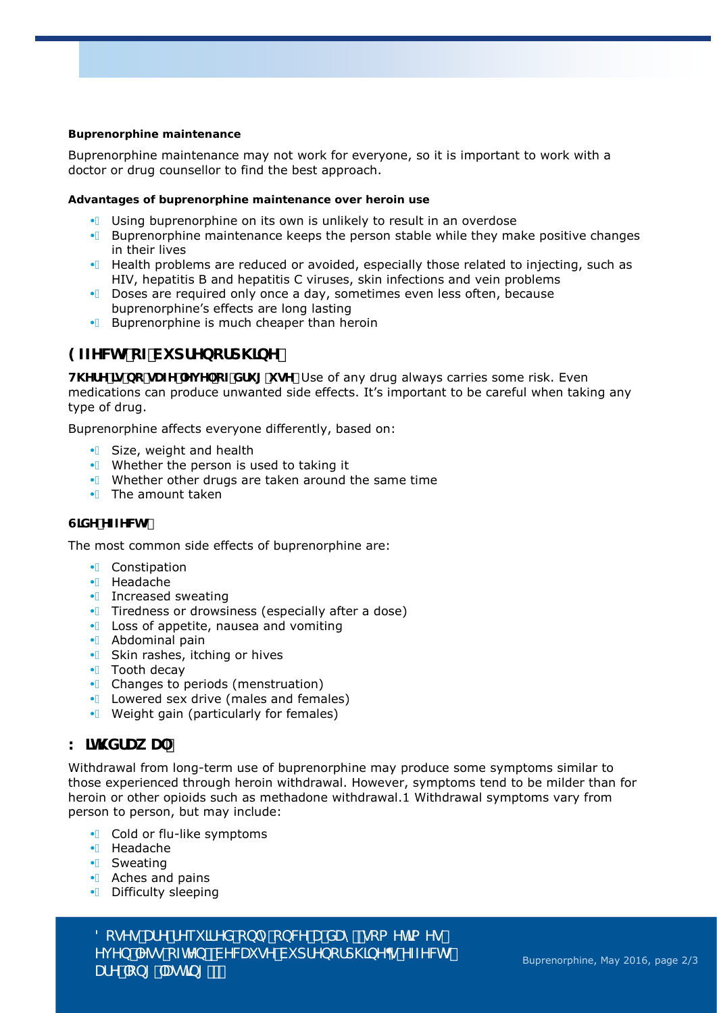#### *Buprenorphine maintenance*

Buprenorphine maintenance may not work for everyone, so it is important to work with a doctor or drug counsellor to find the best approach.

#### *Advantages of buprenorphine maintenance over heroin use*

- $\mathbf{\hat{A}}$  Using buprenorphine on its own is unlikely to result in an overdose
- $\hat{A}$  Buprenorphine maintenance keeps the person stable while they make positive changes in their lives
- $\mathbf{\hat{A}}$  Health problems are reduced or avoided, especially those related to injecting, such as HIV, hepatitis B and hepatitis C viruses, skin infections and vein problems
- $\hat{A}$  Doses are required only once a day, sometimes even less often, because buprenorphine's effects are long lasting
- $\overline{A}$  Buprenorphine is much cheaper than heroin

#### **9ZZYWG cZVi dfYbcfd\]bY**

**H. YfY ]g bc qUZY 'Yj Y' cZ'Xfi [ 'i qY"** Use of any drug always carries some risk. Even medications can produce unwanted side effects. It's important to be careful when taking any type of drug.

Buprenorphine affects everyone differently, based on:

- $\overline{A}$  Size, weight and health
- $\overline{A}$  Whether the person is used to taking it
- $\mathbf{\hat{A}}$  Whether other drugs are taken around the same time
- $\overline{A}$  The amount taken

#### **GIXY 'YZZYWG'**

The most common side effects of buprenorphine are:

- A Constipation
- Á Headache
- $\overrightarrow{A}$  Increased sweating
- $\mathbf{\hat{A}}$  Tiredness or drowsiness (especially after a dose)
- $\overline{A}$  Loss of appetite, nausea and vomiting
- Á Abdominal pain
- $\overline{\mathsf{A}}$  Skin rashes, itching or hives
- $\overrightarrow{A}$  Tooth decay
- $\overline{\bullet}$  Changes to periods (menstruation)
- $\overrightarrow{A}$  Lowered sex drive (males and females)

*1HHGVDQHZTXRWH1HHGVDQHZTXRWH*

 $\overline{\bullet}$  Weight gain (particularly for females)

#### K **IH XfUk U'**

Withdrawal from long-term use of buprenorphine may produce some symptoms similar to those experienced through heroin withdrawal. However, symptoms tend to be milder than for heroin or other opioids such as methadone withdrawal.1 Withdrawal symptoms vary from person to person, but may include:

- $\overline{A}$  Cold or flu-like symptoms
- Á Headache
- Á Sweating
- $\overrightarrow{A}$  Aches and pains
- A Difficulty sleeping

*8cgYgʻUfYʻfYei ]fYXʻcb`mcbVWʻUʻXUmžgca Yh]a Yg Yi Yb `Yqq`cZnYbžVYVVII qY`Vi dfYbcfd\]bYBq`YZZYVYq` DHY* cb<sub>[</sub> 'Uqh]b<sub>[</sub>'